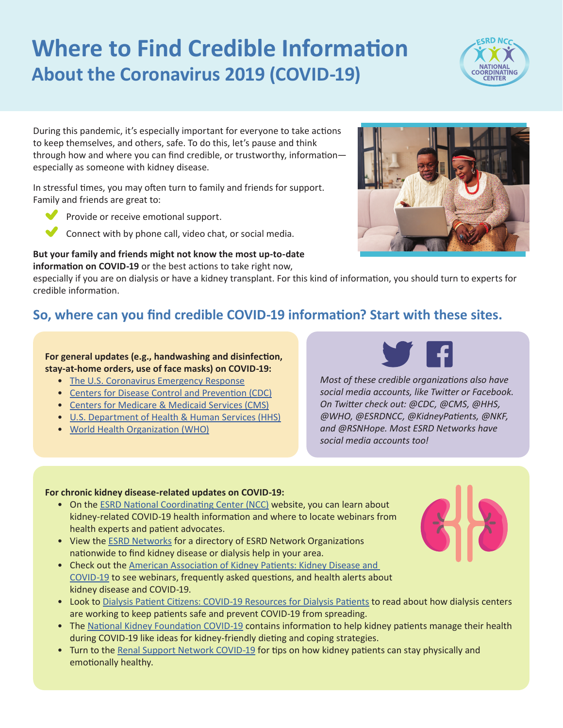# **Where to Find Credible Information About the Coronavirus 2019 (COVID-19)**



During this pandemic, it's especially important for everyone to take actions to keep themselves, and others, safe. To do this, let's pause and think through how and where you can find credible, or trustworthy, information especially as someone with kidney disease.

In stressful times, you may often turn to family and friends for support. Family and friends are great to:



Connect with by phone call, video chat, or social media.

**But your family and friends might not know the most up-to-date information on COVID-19** or the best actions to take right now,



especially if you are on dialysis or have a kidney transplant. For this kind of information, you should turn to experts for credible information.

#### **So, where can you find credible COVID-19 information? Start with these sites.**

**For general updates (e.g., handwashing and disinfection, stay-at-home orders, use of face masks) on COVID-19:**

- [The U.S. Coronavirus Emergency Response](https://www.coronavirus.gov/)
- [Centers for Disease Control and Prevention \(CDC\)](https://www.cdc.gov/coronavirus/2019-ncov/index.html)
- [Centers for Medicare & Medicaid Services \(CMS\)](https://www.cms.gov/About-CMS/Agency-Information/Emergency/EPRO/Current-Emergencies/Current-Emergencies-page)
- [U.S. Department of Health & Human Services \(HHS\)](https://www.hhs.gov/)
- [World Health Organization](https://www.who.int/health-topics/coronavirus#tab=tab_1) (WHO)



*Most of these credible organizations also have social media accounts, like Twitter or Facebook. On Twitter check out: @CDC, @CMS, @HHS, @WHO, @ESRDNCC, @KidneyPatients, @NKF, and @RSNHope. Most ESRD Networks have social media accounts too!*

#### **For chronic kidney disease-related updates on COVID-19:**

- On the [ESRD National Coordinating Center \(NCC\)](https://esrdncc.org/en/covid-19/covid-quickinars/) website, you can learn about kidney-related COVID-19 health information and where to locate webinars from health experts and patient advocates.
- View the **[ESRD Networks](https://www.esrdncc.org/en/ESRD-network-map/)** for a directory of ESRD Network Organizations nationwide to find kidney disease or dialysis help in your area.
- Check out the [American Association of Kidney Patients: Kidney Disease and](https://aakp.org/center-for-patient-research-and-education/coronavirus-resources/)  [COVID-19](https://aakp.org/center-for-patient-research-and-education/coronavirus-resources/) to see webinars, frequently asked questions, and health alerts about kidney disease and COVID-19.
- Look to [Dialysis Patient Citizens: COVID-19 Resources for Dialysis Patients](https://www.dpcedcenter.org/news-events/news/coronavirus-disease-covid-19-information-for-dialysis-patients/) to read about how dialysis centers are working to keep patients safe and prevent COVID-19 from spreading.
- The [National Kidney Foundation COVID-19](https://www.kidney.org/covid-19) contains information to help kidney patients manage their health during COVID-19 like ideas for kidney-friendly dieting and coping strategies.
- Turn to the [Renal Support Network COVID-19](https://www.rsnhope.org/coronavirus-covid-19-information/) for tips on how kidney patients can stay physically and emotionally healthy.